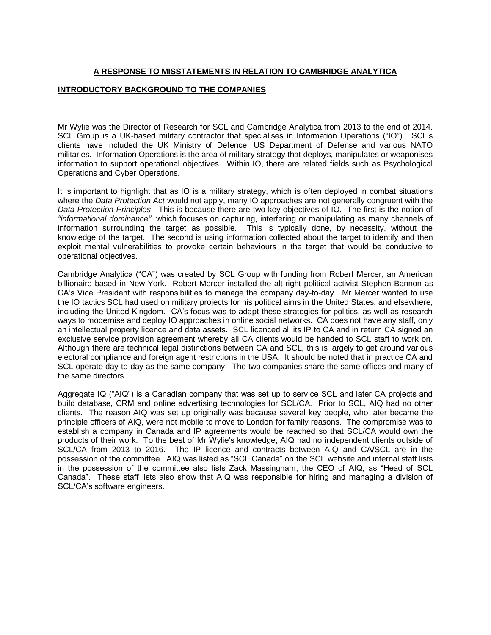# **A RESPONSE TO MISSTATEMENTS IN RELATION TO CAMBRIDGE ANALYTICA**

## **INTRODUCTORY BACKGROUND TO THE COMPANIES**

Mr Wylie was the Director of Research for SCL and Cambridge Analytica from 2013 to the end of 2014. SCL Group is a UK-based military contractor that specialises in Information Operations ("IO"). SCL's clients have included the UK Ministry of Defence, US Department of Defense and various NATO militaries. Information Operations is the area of military strategy that deploys, manipulates or weaponises information to support operational objectives. Within IO, there are related fields such as Psychological Operations and Cyber Operations.

It is important to highlight that as IO is a military strategy, which is often deployed in combat situations where the *Data Protection Act* would not apply, many IO approaches are not generally congruent with the *Data Protection Principles*. This is because there are two key objectives of IO. The first is the notion of *"informational dominance"*, which focuses on capturing, interfering or manipulating as many channels of information surrounding the target as possible. This is typically done, by necessity, without the knowledge of the target. The second is using information collected about the target to identify and then exploit mental vulnerabilities to provoke certain behaviours in the target that would be conducive to operational objectives.

Cambridge Analytica ("CA") was created by SCL Group with funding from Robert Mercer, an American billionaire based in New York. Robert Mercer installed the alt-right political activist Stephen Bannon as CA's Vice President with responsibilities to manage the company day-to-day. Mr Mercer wanted to use the IO tactics SCL had used on military projects for his political aims in the United States, and elsewhere, including the United Kingdom. CA's focus was to adapt these strategies for politics, as well as research ways to modernise and deploy IO approaches in online social networks. CA does not have any staff, only an intellectual property licence and data assets. SCL licenced all its IP to CA and in return CA signed an exclusive service provision agreement whereby all CA clients would be handed to SCL staff to work on. Although there are technical legal distinctions between CA and SCL, this is largely to get around various electoral compliance and foreign agent restrictions in the USA. It should be noted that in practice CA and SCL operate day-to-day as the same company. The two companies share the same offices and many of the same directors.

Aggregate IQ ("AIQ") is a Canadian company that was set up to service SCL and later CA projects and build database, CRM and online advertising technologies for SCL/CA. Prior to SCL, AIQ had no other clients. The reason AIQ was set up originally was because several key people, who later became the principle officers of AIQ, were not mobile to move to London for family reasons. The compromise was to establish a company in Canada and IP agreements would be reached so that SCL/CA would own the products of their work. To the best of Mr Wylie's knowledge, AIQ had no independent clients outside of SCL/CA from 2013 to 2016. The IP licence and contracts between AIQ and CA/SCL are in the possession of the committee. AIQ was listed as "SCL Canada" on the SCL website and internal staff lists in the possession of the committee also lists Zack Massingham, the CEO of AIQ, as "Head of SCL Canada". These staff lists also show that AIQ was responsible for hiring and managing a division of SCL/CA's software engineers.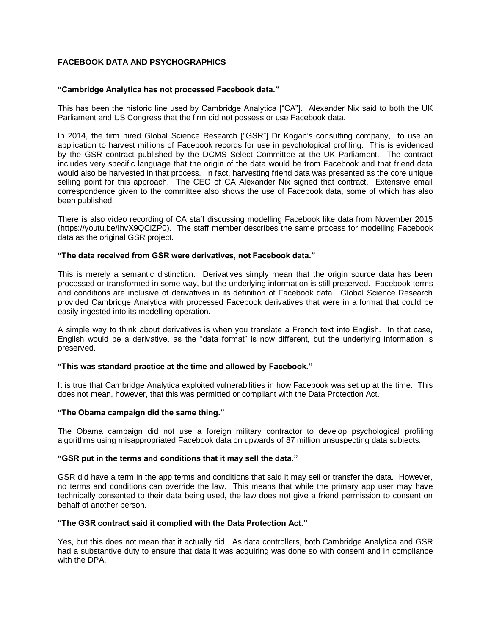# **FACEBOOK DATA AND PSYCHOGRAPHICS**

## **"Cambridge Analytica has not processed Facebook data."**

This has been the historic line used by Cambridge Analytica ["CA"]. Alexander Nix said to both the UK Parliament and US Congress that the firm did not possess or use Facebook data.

In 2014, the firm hired Global Science Research ["GSR"] Dr Kogan's consulting company, to use an application to harvest millions of Facebook records for use in psychological profiling. This is evidenced by the GSR contract published by the DCMS Select Committee at the UK Parliament. The contract includes very specific language that the origin of the data would be from Facebook and that friend data would also be harvested in that process. In fact, harvesting friend data was presented as the core unique selling point for this approach. The CEO of CA Alexander Nix signed that contract. Extensive email correspondence given to the committee also shows the use of Facebook data, some of which has also been published.

There is also video recording of CA staff discussing modelling Facebook like data from November 2015 [\(https://youtu.be/IhvX9QCiZP0\)](https://youtu.be/IhvX9QCiZP0). The staff member describes the same process for modelling Facebook data as the original GSR project.

## **"The data received from GSR were derivatives, not Facebook data."**

This is merely a semantic distinction. Derivatives simply mean that the origin source data has been processed or transformed in some way, but the underlying information is still preserved. Facebook terms and conditions are inclusive of derivatives in its definition of Facebook data. Global Science Research provided Cambridge Analytica with processed Facebook derivatives that were in a format that could be easily ingested into its modelling operation.

A simple way to think about derivatives is when you translate a French text into English. In that case, English would be a derivative, as the "data format" is now different, but the underlying information is preserved.

## **"This was standard practice at the time and allowed by Facebook."**

It is true that Cambridge Analytica exploited vulnerabilities in how Facebook was set up at the time. This does not mean, however, that this was permitted or compliant with the Data Protection Act.

## **"The Obama campaign did the same thing."**

The Obama campaign did not use a foreign military contractor to develop psychological profiling algorithms using misappropriated Facebook data on upwards of 87 million unsuspecting data subjects.

### **"GSR put in the terms and conditions that it may sell the data."**

GSR did have a term in the app terms and conditions that said it may sell or transfer the data. However, no terms and conditions can override the law. This means that while the primary app user may have technically consented to their data being used, the law does not give a friend permission to consent on behalf of another person.

## **"The GSR contract said it complied with the Data Protection Act."**

Yes, but this does not mean that it actually did. As data controllers, both Cambridge Analytica and GSR had a substantive duty to ensure that data it was acquiring was done so with consent and in compliance with the DPA.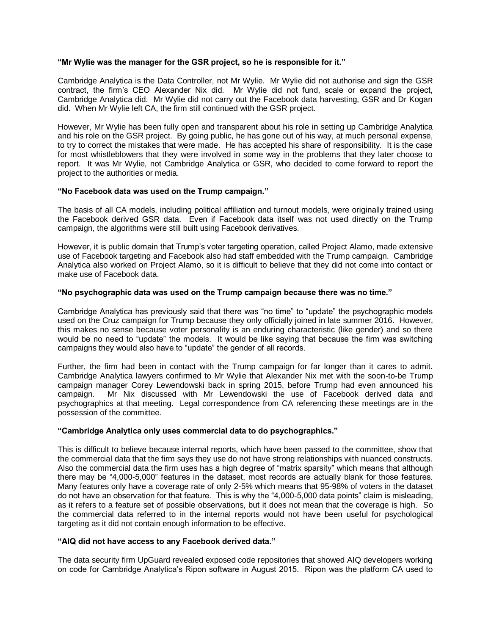## **"Mr Wylie was the manager for the GSR project, so he is responsible for it."**

Cambridge Analytica is the Data Controller, not Mr Wylie. Mr Wylie did not authorise and sign the GSR contract, the firm's CEO Alexander Nix did. Mr Wylie did not fund, scale or expand the project, Cambridge Analytica did. Mr Wylie did not carry out the Facebook data harvesting, GSR and Dr Kogan did. When Mr Wylie left CA, the firm still continued with the GSR project.

However, Mr Wylie has been fully open and transparent about his role in setting up Cambridge Analytica and his role on the GSR project. By going public, he has gone out of his way, at much personal expense, to try to correct the mistakes that were made. He has accepted his share of responsibility. It is the case for most whistleblowers that they were involved in some way in the problems that they later choose to report. It was Mr Wylie, not Cambridge Analytica or GSR, who decided to come forward to report the project to the authorities or media.

## **"No Facebook data was used on the Trump campaign."**

The basis of all CA models, including political affiliation and turnout models, were originally trained using the Facebook derived GSR data. Even if Facebook data itself was not used directly on the Trump campaign, the algorithms were still built using Facebook derivatives.

However, it is public domain that Trump's voter targeting operation, called Project Alamo, made extensive use of Facebook targeting and Facebook also had staff embedded with the Trump campaign. Cambridge Analytica also worked on Project Alamo, so it is difficult to believe that they did not come into contact or make use of Facebook data.

## **"No psychographic data was used on the Trump campaign because there was no time."**

Cambridge Analytica has previously said that there was "no time" to "update" the psychographic models used on the Cruz campaign for Trump because they only officially joined in late summer 2016. However, this makes no sense because voter personality is an enduring characteristic (like gender) and so there would be no need to "update" the models. It would be like saying that because the firm was switching campaigns they would also have to "update" the gender of all records.

Further, the firm had been in contact with the Trump campaign for far longer than it cares to admit. Cambridge Analytica lawyers confirmed to Mr Wylie that Alexander Nix met with the soon-to-be Trump campaign manager Corey Lewendowski back in spring 2015, before Trump had even announced his campaign. Mr Nix discussed with Mr Lewendowski the use of Facebook derived data and psychographics at that meeting. Legal correspondence from CA referencing these meetings are in the possession of the committee.

## **"Cambridge Analytica only uses commercial data to do psychographics."**

This is difficult to believe because internal reports, which have been passed to the committee, show that the commercial data that the firm says they use do not have strong relationships with nuanced constructs. Also the commercial data the firm uses has a high degree of "matrix sparsity" which means that although there may be "4,000-5,000" features in the dataset, most records are actually blank for those features. Many features only have a coverage rate of only 2-5% which means that 95-98% of voters in the dataset do not have an observation for that feature. This is why the "4,000-5,000 data points" claim is misleading, as it refers to a feature set of possible observations, but it does not mean that the coverage is high. So the commercial data referred to in the internal reports would not have been useful for psychological targeting as it did not contain enough information to be effective.

## **"AIQ did not have access to any Facebook derived data."**

The data security firm UpGuard revealed exposed code repositories that showed AIQ developers working on code for Cambridge Analytica's Ripon software in August 2015. Ripon was the platform CA used to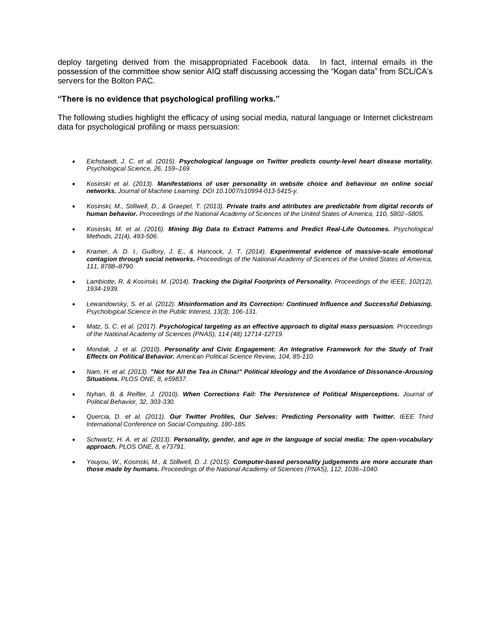deploy targeting derived from the misappropriated Facebook data. In fact, internal emails in the possession of the committee show senior AIQ staff discussing accessing the "Kogan data" from SCL/CA's servers for the Bolton PAC.

#### **"There is no evidence that psychological profiling works."**

The following studies highlight the efficacy of using social media, natural language or Internet clickstream data for psychological profiling or mass persuasion:

- *Eichstaedt, J. C. et al. (2015). Psychological language on Twitter predicts county-level heart disease mortality. Psychological Science, 26, 159–169*
- *Kosinski et al. (2013). Manifestations of user personality in website choice and behaviour on online social networks. Journal of Machine Learning. DOI 10.1007/s10994-013-5415-y.*
- *Kosinski, M., Stillwell, D., & Graepel, T. (2013). Private traits and attributes are predictable from digital records of human behavior. Proceedings of the National Academy of Sciences of the United States of America, 110, 5802–5805.*
- *Kosinski, M. et al. (2016). Mining Big Data to Extract Patterns and Predict Real-Life Outcomes. Psychological Methods, 21(4), 493-506.*
- *Kramer, A. D. I., Guillory, J. E., & Hancock, J. T. (2014). Experimental evidence of massive-scale emotional contagion through social networks. Proceedings of the National Academy of Sciences of the United States of America, 111, 8788–8790.*
- *Lambiotte, R. & Kosinski, M. (2014). Tracking the Digital Footprints of Personality. Proceedings of the IEEE, 102(12), 1934-1939.*
- *Lewandowsky, S. et al. (2012). Misinformation and Its Correction: Continued Influence and Successful Debiasing. Psychological Science in the Public Interest, 13(3), 106-131.*
- *Matz, S. C. et al. (2017). Psychological targeting as an effective approach to digital mass persuasion. Proceedings of the National Academy of Sciences (PNAS), 114 (48) 12714-12719.*
- *Mondak, J. et al. (2010). Personality and Civic Engagement: An Integrative Framework for the Study of Trait Effects on Political Behavior. American Political Science Review, 104, 85-110.*
- *Nam, H. et al. (2013). "Not for All the Tea in China!" Political Ideology and the Avoidance of Dissonance-Arousing Situations. PLOS ONE, 8, e59837.*
- *Nyhan, B. & Reifler, J. (2010). When Corrections Fail: The Persistence of Political Misperceptions. Journal of Political Behavior, 32, 303-330.*
- *Quercia, D. et al. (2011). Our Twitter Profiles, Our Selves: Predicting Personality with Twitter. IEEE Third International Conference on Social Computing, 180-185.*
- *Schwartz, H. A. et al. (2013). Personality, gender, and age in the language of social media: The open-vocabulary approach. PLOS ONE, 8, e73791.*
- *Youyou, W., Kosinski, M., & Stillwell, D. J. (2015). Computer-based personality judgements are more accurate than those made by humans. Proceedings of the National Academy of Sciences (PNAS), 112, 1036–1040.*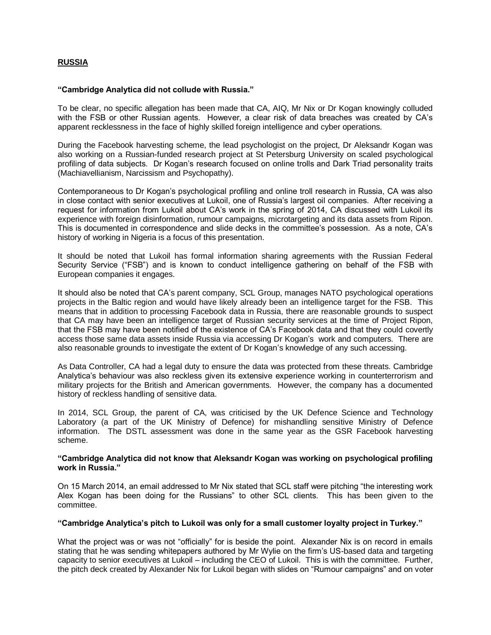# **RUSSIA**

### **"Cambridge Analytica did not collude with Russia."**

To be clear, no specific allegation has been made that CA, AIQ, Mr Nix or Dr Kogan knowingly colluded with the FSB or other Russian agents. However, a clear risk of data breaches was created by CA's apparent recklessness in the face of highly skilled foreign intelligence and cyber operations.

During the Facebook harvesting scheme, the lead psychologist on the project, Dr Aleksandr Kogan was also working on a Russian-funded research project at St Petersburg University on scaled psychological profiling of data subjects. Dr Kogan's research focused on online trolls and Dark Triad personality traits (Machiavellianism, Narcissism and Psychopathy).

Contemporaneous to Dr Kogan's psychological profiling and online troll research in Russia, CA was also in close contact with senior executives at Lukoil, one of Russia's largest oil companies. After receiving a request for information from Lukoil about CA's work in the spring of 2014, CA discussed with Lukoil its experience with foreign disinformation, rumour campaigns, microtargeting and its data assets from Ripon. This is documented in correspondence and slide decks in the committee's possession. As a note, CA's history of working in Nigeria is a focus of this presentation.

It should be noted that Lukoil has formal information sharing agreements with the Russian Federal Security Service ("FSB") and is known to conduct intelligence gathering on behalf of the FSB with European companies it engages.

It should also be noted that CA's parent company, SCL Group, manages NATO psychological operations projects in the Baltic region and would have likely already been an intelligence target for the FSB. This means that in addition to processing Facebook data in Russia, there are reasonable grounds to suspect that CA may have been an intelligence target of Russian security services at the time of Project Ripon, that the FSB may have been notified of the existence of CA's Facebook data and that they could covertly access those same data assets inside Russia via accessing Dr Kogan's work and computers. There are also reasonable grounds to investigate the extent of Dr Kogan's knowledge of any such accessing.

As Data Controller, CA had a legal duty to ensure the data was protected from these threats. Cambridge Analytica's behaviour was also reckless given its extensive experience working in counterterrorism and military projects for the British and American governments. However, the company has a documented history of reckless handling of sensitive data.

In 2014, SCL Group, the parent of CA, was criticised by the UK Defence Science and Technology Laboratory (a part of the UK Ministry of Defence) for mishandling sensitive Ministry of Defence information. The DSTL assessment was done in the same year as the GSR Facebook harvesting scheme.

### **"Cambridge Analytica did not know that Aleksandr Kogan was working on psychological profiling work in Russia."**

On 15 March 2014, an email addressed to Mr Nix stated that SCL staff were pitching "the interesting work Alex Kogan has been doing for the Russians" to other SCL clients. This has been given to the committee.

#### **"Cambridge Analytica's pitch to Lukoil was only for a small customer loyalty project in Turkey."**

What the project was or was not "officially" for is beside the point. Alexander Nix is on record in emails stating that he was sending whitepapers authored by Mr Wylie on the firm's US-based data and targeting capacity to senior executives at Lukoil – including the CEO of Lukoil. This is with the committee. Further, the pitch deck created by Alexander Nix for Lukoil began with slides on "Rumour campaigns" and on voter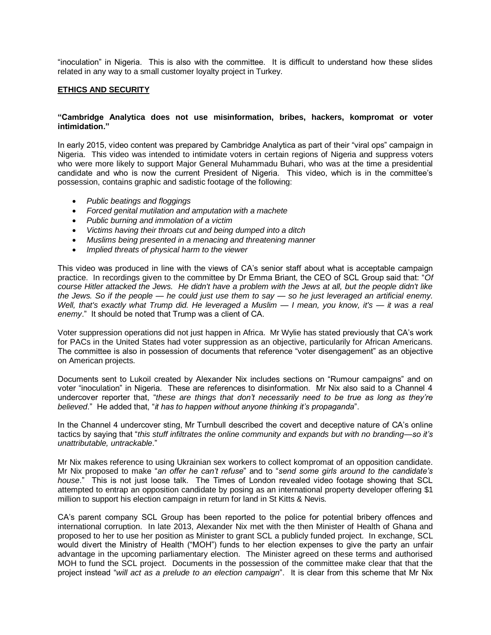"inoculation" in Nigeria. This is also with the committee. It is difficult to understand how these slides related in any way to a small customer loyalty project in Turkey.

## **ETHICS AND SECURITY**

## **"Cambridge Analytica does not use misinformation, bribes, hackers, kompromat or voter intimidation."**

In early 2015, video content was prepared by Cambridge Analytica as part of their "viral ops" campaign in Nigeria. This video was intended to intimidate voters in certain regions of Nigeria and suppress voters who were more likely to support Major General Muhammadu Buhari, who was at the time a presidential candidate and who is now the current President of Nigeria. This video, which is in the committee's possession, contains graphic and sadistic footage of the following:

- *Public beatings and floggings*
- *Forced genital mutilation and amputation with a machete*
- *Public burning and immolation of a victim*
- *Victims having their throats cut and being dumped into a ditch*
- *Muslims being presented in a menacing and threatening manner*
- *Implied threats of physical harm to the viewer*

This video was produced in line with the views of CA's senior staff about what is acceptable campaign practice. In recordings given to the committee by Dr Emma Briant, the CEO of SCL Group said that: "*Of course Hitler attacked the Jews. He didn't have a problem with the Jews at all, but the people didn't like the Jews. So if the people — he could just use them to say — so he just leveraged an artificial enemy. Well, that's exactly what Trump did. He leveraged a Muslim — I mean, you know, it's — it was a real enemy*." It should be noted that Trump was a client of CA.

Voter suppression operations did not just happen in Africa. Mr Wylie has stated previously that CA's work for PACs in the United States had voter suppression as an objective, particularily for African Americans. The committee is also in possession of documents that reference "voter disengagement" as an objective on American projects.

Documents sent to Lukoil created by Alexander Nix includes sections on "Rumour campaigns" and on voter "inoculation" in Nigeria. These are references to disinformation. Mr Nix also said to a Channel 4 undercover reporter that, "*these are things that don't necessarily need to be true as long as they're believed*." He added that, "*it has to happen without anyone thinking it's propaganda*".

In the Channel 4 undercover sting, Mr Turnbull described the covert and deceptive nature of CA's online tactics by saying that "*this stuff infiltrates the online community and expands but with no branding—so it's unattributable, untrackable*."

Mr Nix makes reference to using Ukrainian sex workers to collect kompromat of an opposition candidate. Mr Nix proposed to make "*an offer he can't refuse*" and to "*send some girls around to the candidate's house*." This is not just loose talk. The Times of London revealed video footage showing that SCL attempted to entrap an opposition candidate by posing as an international property developer offering \$1 million to support his election campaign in return for land in St Kitts & Nevis.

CA's parent company SCL Group has been reported to the police for potential bribery offences and international corruption. In late 2013, Alexander Nix met with the then Minister of Health of Ghana and proposed to her to use her position as Minister to grant SCL a publicly funded project. In exchange, SCL would divert the Ministry of Health ("MOH") funds to her election expenses to give the party an unfair advantage in the upcoming parliamentary election. The Minister agreed on these terms and authorised MOH to fund the SCL project. Documents in the possession of the committee make clear that that the project instead "*will act as a prelude to an election campaign*". It is clear from this scheme that Mr Nix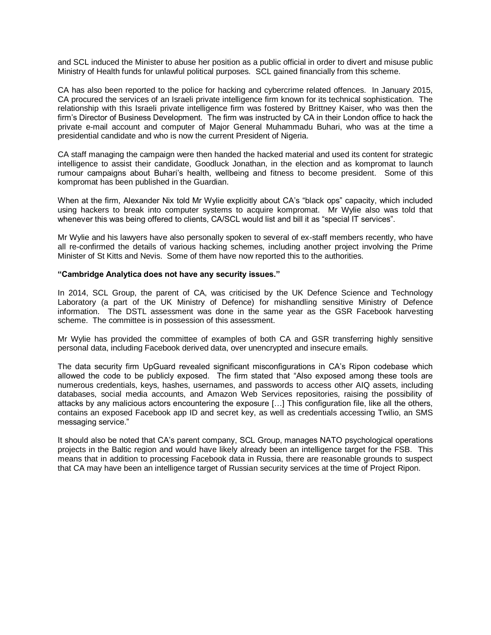and SCL induced the Minister to abuse her position as a public official in order to divert and misuse public Ministry of Health funds for unlawful political purposes. SCL gained financially from this scheme.

CA has also been reported to the police for hacking and cybercrime related offences. In January 2015, CA procured the services of an Israeli private intelligence firm known for its technical sophistication. The relationship with this Israeli private intelligence firm was fostered by Brittney Kaiser, who was then the firm's Director of Business Development. The firm was instructed by CA in their London office to hack the private e-mail account and computer of Major General Muhammadu Buhari, who was at the time a presidential candidate and who is now the current President of Nigeria.

CA staff managing the campaign were then handed the hacked material and used its content for strategic intelligence to assist their candidate, Goodluck Jonathan, in the election and as kompromat to launch rumour campaigns about Buhari's health, wellbeing and fitness to become president. Some of this kompromat has been published in the Guardian.

When at the firm, Alexander Nix told Mr Wylie explicitly about CA's "black ops" capacity, which included using hackers to break into computer systems to acquire kompromat. Mr Wylie also was told that whenever this was being offered to clients, CA/SCL would list and bill it as "special IT services".

Mr Wylie and his lawyers have also personally spoken to several of ex-staff members recently, who have all re-confirmed the details of various hacking schemes, including another project involving the Prime Minister of St Kitts and Nevis. Some of them have now reported this to the authorities.

### **"Cambridge Analytica does not have any security issues."**

In 2014, SCL Group, the parent of CA, was criticised by the UK Defence Science and Technology Laboratory (a part of the UK Ministry of Defence) for mishandling sensitive Ministry of Defence information. The DSTL assessment was done in the same year as the GSR Facebook harvesting scheme. The committee is in possession of this assessment.

Mr Wylie has provided the committee of examples of both CA and GSR transferring highly sensitive personal data, including Facebook derived data, over unencrypted and insecure emails.

The data security firm UpGuard revealed significant misconfigurations in CA's Ripon codebase which allowed the code to be publicly exposed. The firm stated that "Also exposed among these tools are numerous credentials, keys, hashes, usernames, and passwords to access other AIQ assets, including databases, social media accounts, and Amazon Web Services repositories, raising the possibility of attacks by any malicious actors encountering the exposure […] This configuration file, like all the others, contains an exposed Facebook app ID and secret key, as well as credentials accessing Twilio, an SMS messaging service."

It should also be noted that CA's parent company, SCL Group, manages NATO psychological operations projects in the Baltic region and would have likely already been an intelligence target for the FSB. This means that in addition to processing Facebook data in Russia, there are reasonable grounds to suspect that CA may have been an intelligence target of Russian security services at the time of Project Ripon.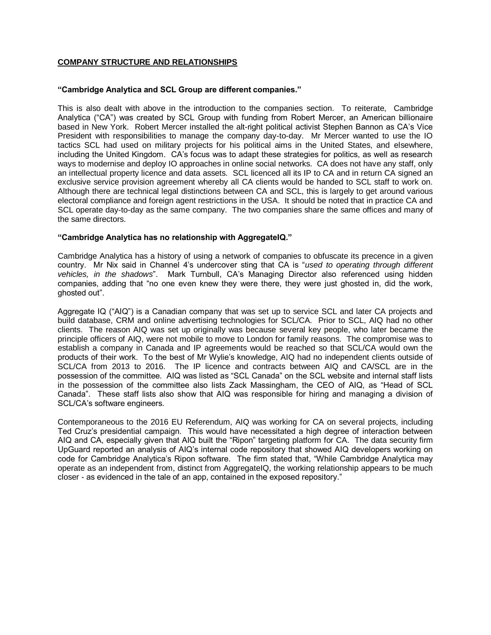# **COMPANY STRUCTURE AND RELATIONSHIPS**

### **"Cambridge Analytica and SCL Group are different companies."**

This is also dealt with above in the introduction to the companies section. To reiterate, Cambridge Analytica ("CA") was created by SCL Group with funding from Robert Mercer, an American billionaire based in New York. Robert Mercer installed the alt-right political activist Stephen Bannon as CA's Vice President with responsibilities to manage the company day-to-day. Mr Mercer wanted to use the IO tactics SCL had used on military projects for his political aims in the United States, and elsewhere, including the United Kingdom. CA's focus was to adapt these strategies for politics, as well as research ways to modernise and deploy IO approaches in online social networks. CA does not have any staff, only an intellectual property licence and data assets. SCL licenced all its IP to CA and in return CA signed an exclusive service provision agreement whereby all CA clients would be handed to SCL staff to work on. Although there are technical legal distinctions between CA and SCL, this is largely to get around various electoral compliance and foreign agent restrictions in the USA. It should be noted that in practice CA and SCL operate day-to-day as the same company. The two companies share the same offices and many of the same directors.

### **"Cambridge Analytica has no relationship with AggregateIQ."**

Cambridge Analytica has a history of using a network of companies to obfuscate its precence in a given country. Mr Nix said in Channel 4's undercover sting that CA is "*used to operating through different vehicles, in the shadows*". Mark Turnbull, CA's Managing Director also referenced using hidden companies, adding that "no one even knew they were there, they were just ghosted in, did the work, ghosted out".

Aggregate IQ ("AIQ") is a Canadian company that was set up to service SCL and later CA projects and build database, CRM and online advertising technologies for SCL/CA. Prior to SCL, AIQ had no other clients. The reason AIQ was set up originally was because several key people, who later became the principle officers of AIQ, were not mobile to move to London for family reasons. The compromise was to establish a company in Canada and IP agreements would be reached so that SCL/CA would own the products of their work. To the best of Mr Wylie's knowledge, AIQ had no independent clients outside of SCL/CA from 2013 to 2016. The IP licence and contracts between AIQ and CA/SCL are in the possession of the committee. AIQ was listed as "SCL Canada" on the SCL website and internal staff lists in the possession of the committee also lists Zack Massingham, the CEO of AIQ, as "Head of SCL Canada". These staff lists also show that AIQ was responsible for hiring and managing a division of SCL/CA's software engineers.

Contemporaneous to the 2016 EU Referendum, AIQ was working for CA on several projects, including Ted Cruz's presidential campaign. This would have necessitated a high degree of interaction between AIQ and CA, especially given that AIQ built the "Ripon" targeting platform for CA. The data security firm UpGuard reported an analysis of AIQ's internal code repository that showed AIQ developers working on code for Cambridge Analytica's Ripon software. The firm stated that, "While Cambridge Analytica may operate as an independent from, distinct from AggregateIQ, the working relationship appears to be much closer - as evidenced in the tale of an app, contained in the exposed repository."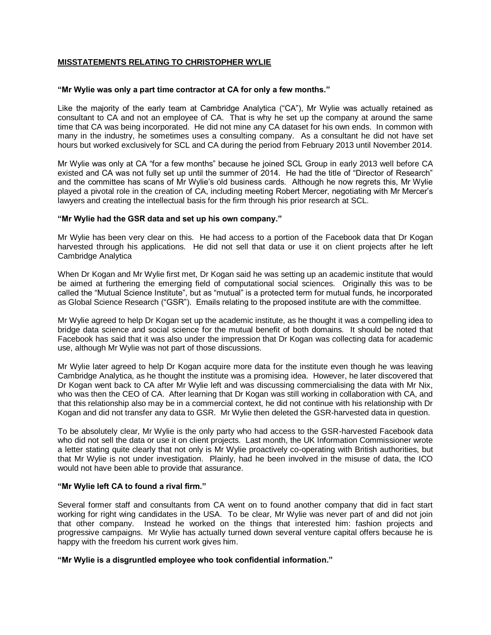# **MISSTATEMENTS RELATING TO CHRISTOPHER WYLIE**

### **"Mr Wylie was only a part time contractor at CA for only a few months."**

Like the majority of the early team at Cambridge Analytica ("CA"), Mr Wylie was actually retained as consultant to CA and not an employee of CA. That is why he set up the company at around the same time that CA was being incorporated. He did not mine any CA dataset for his own ends. In common with many in the industry, he sometimes uses a consulting company. As a consultant he did not have set hours but worked exclusively for SCL and CA during the period from February 2013 until November 2014.

Mr Wylie was only at CA "for a few months" because he joined SCL Group in early 2013 well before CA existed and CA was not fully set up until the summer of 2014. He had the title of "Director of Research" and the committee has scans of Mr Wylie's old business cards. Although he now regrets this, Mr Wylie played a pivotal role in the creation of CA, including meeting Robert Mercer, negotiating with Mr Mercer's lawyers and creating the intellectual basis for the firm through his prior research at SCL.

### **"Mr Wylie had the GSR data and set up his own company."**

Mr Wylie has been very clear on this. He had access to a portion of the Facebook data that Dr Kogan harvested through his applications. He did not sell that data or use it on client projects after he left Cambridge Analytica

When Dr Kogan and Mr Wylie first met, Dr Kogan said he was setting up an academic institute that would be aimed at furthering the emerging field of computational social sciences. Originally this was to be called the "Mutual Science Institute", but as "mutual" is a protected term for mutual funds, he incorporated as Global Science Research ("GSR"). Emails relating to the proposed institute are with the committee.

Mr Wylie agreed to help Dr Kogan set up the academic institute, as he thought it was a compelling idea to bridge data science and social science for the mutual benefit of both domains. It should be noted that Facebook has said that it was also under the impression that Dr Kogan was collecting data for academic use, although Mr Wylie was not part of those discussions.

Mr Wylie later agreed to help Dr Kogan acquire more data for the institute even though he was leaving Cambridge Analytica, as he thought the institute was a promising idea. However, he later discovered that Dr Kogan went back to CA after Mr Wylie left and was discussing commercialising the data with Mr Nix, who was then the CEO of CA. After learning that Dr Kogan was still working in collaboration with CA, and that this relationship also may be in a commercial context, he did not continue with his relationship with Dr Kogan and did not transfer any data to GSR. Mr Wylie then deleted the GSR-harvested data in question.

To be absolutely clear, Mr Wylie is the only party who had access to the GSR-harvested Facebook data who did not sell the data or use it on client projects. Last month, the UK Information Commissioner wrote a letter stating quite clearly that not only is Mr Wylie proactively co-operating with British authorities, but that Mr Wylie is not under investigation. Plainly, had he been involved in the misuse of data, the ICO would not have been able to provide that assurance.

#### **"Mr Wylie left CA to found a rival firm."**

Several former staff and consultants from CA went on to found another company that did in fact start working for right wing candidates in the USA. To be clear, Mr Wylie was never part of and did not join that other company. Instead he worked on the things that interested him: fashion projects and progressive campaigns. Mr Wylie has actually turned down several venture capital offers because he is happy with the freedom his current work gives him.

## **"Mr Wylie is a disgruntled employee who took confidential information."**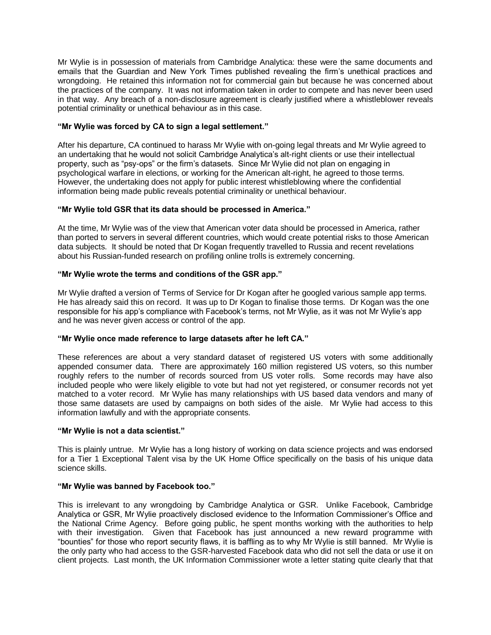Mr Wylie is in possession of materials from Cambridge Analytica: these were the same documents and emails that the Guardian and New York Times published revealing the firm's unethical practices and wrongdoing. He retained this information not for commercial gain but because he was concerned about the practices of the company. It was not information taken in order to compete and has never been used in that way. Any breach of a non-disclosure agreement is clearly justified where a whistleblower reveals potential criminality or unethical behaviour as in this case.

## **"Mr Wylie was forced by CA to sign a legal settlement."**

After his departure, CA continued to harass Mr Wylie with on-going legal threats and Mr Wylie agreed to an undertaking that he would not solicit Cambridge Analytica's alt-right clients or use their intellectual property, such as "psy-ops" or the firm's datasets. Since Mr Wylie did not plan on engaging in psychological warfare in elections, or working for the American alt-right, he agreed to those terms. However, the undertaking does not apply for public interest whistleblowing where the confidential information being made public reveals potential criminality or unethical behaviour.

## **"Mr Wylie told GSR that its data should be processed in America."**

At the time, Mr Wylie was of the view that American voter data should be processed in America, rather than ported to servers in several different countries, which would create potential risks to those American data subjects. It should be noted that Dr Kogan frequently travelled to Russia and recent revelations about his Russian-funded research on profiling online trolls is extremely concerning.

## **"Mr Wylie wrote the terms and conditions of the GSR app."**

Mr Wylie drafted a version of Terms of Service for Dr Kogan after he googled various sample app terms. He has already said this on record. It was up to Dr Kogan to finalise those terms. Dr Kogan was the one responsible for his app's compliance with Facebook's terms, not Mr Wylie, as it was not Mr Wylie's app and he was never given access or control of the app.

## **"Mr Wylie once made reference to large datasets after he left CA."**

These references are about a very standard dataset of registered US voters with some additionally appended consumer data. There are approximately 160 million registered US voters, so this number roughly refers to the number of records sourced from US voter rolls. Some records may have also included people who were likely eligible to vote but had not yet registered, or consumer records not yet matched to a voter record. Mr Wylie has many relationships with US based data vendors and many of those same datasets are used by campaigns on both sides of the aisle. Mr Wylie had access to this information lawfully and with the appropriate consents.

## **"Mr Wylie is not a data scientist."**

This is plainly untrue. Mr Wylie has a long history of working on data science projects and was endorsed for a Tier 1 Exceptional Talent visa by the UK Home Office specifically on the basis of his unique data science skills.

## **"Mr Wylie was banned by Facebook too."**

This is irrelevant to any wrongdoing by Cambridge Analytica or GSR. Unlike Facebook, Cambridge Analytica or GSR, Mr Wylie proactively disclosed evidence to the Information Commissioner's Office and the National Crime Agency. Before going public, he spent months working with the authorities to help with their investigation. Given that Facebook has just announced a new reward programme with "bounties" for those who report security flaws, it is baffling as to why Mr Wylie is still banned. Mr Wylie is the only party who had access to the GSR-harvested Facebook data who did not sell the data or use it on client projects. Last month, the UK Information Commissioner wrote a letter stating quite clearly that that